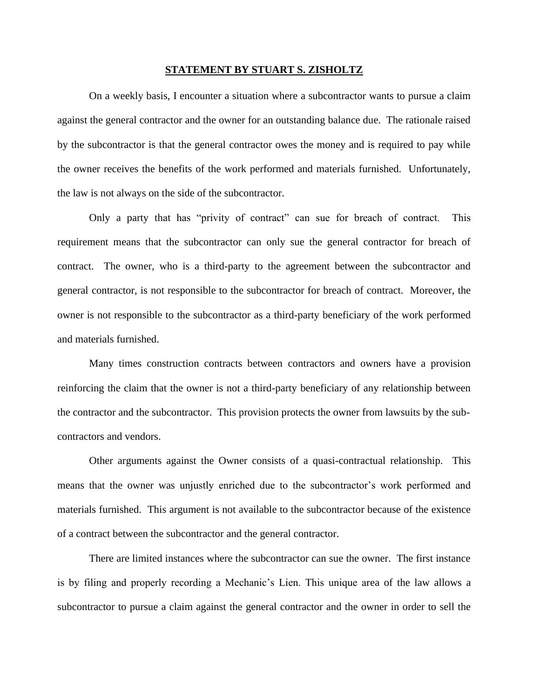## **STATEMENT BY STUART S. ZISHOLTZ**

On a weekly basis, I encounter a situation where a subcontractor wants to pursue a claim against the general contractor and the owner for an outstanding balance due. The rationale raised by the subcontractor is that the general contractor owes the money and is required to pay while the owner receives the benefits of the work performed and materials furnished. Unfortunately, the law is not always on the side of the subcontractor.

Only a party that has "privity of contract" can sue for breach of contract. This requirement means that the subcontractor can only sue the general contractor for breach of contract. The owner, who is a third-party to the agreement between the subcontractor and general contractor, is not responsible to the subcontractor for breach of contract. Moreover, the owner is not responsible to the subcontractor as a third-party beneficiary of the work performed and materials furnished.

Many times construction contracts between contractors and owners have a provision reinforcing the claim that the owner is not a third-party beneficiary of any relationship between the contractor and the subcontractor. This provision protects the owner from lawsuits by the subcontractors and vendors.

Other arguments against the Owner consists of a quasi-contractual relationship. This means that the owner was unjustly enriched due to the subcontractor's work performed and materials furnished. This argument is not available to the subcontractor because of the existence of a contract between the subcontractor and the general contractor.

There are limited instances where the subcontractor can sue the owner. The first instance is by filing and properly recording a Mechanic's Lien. This unique area of the law allows a subcontractor to pursue a claim against the general contractor and the owner in order to sell the